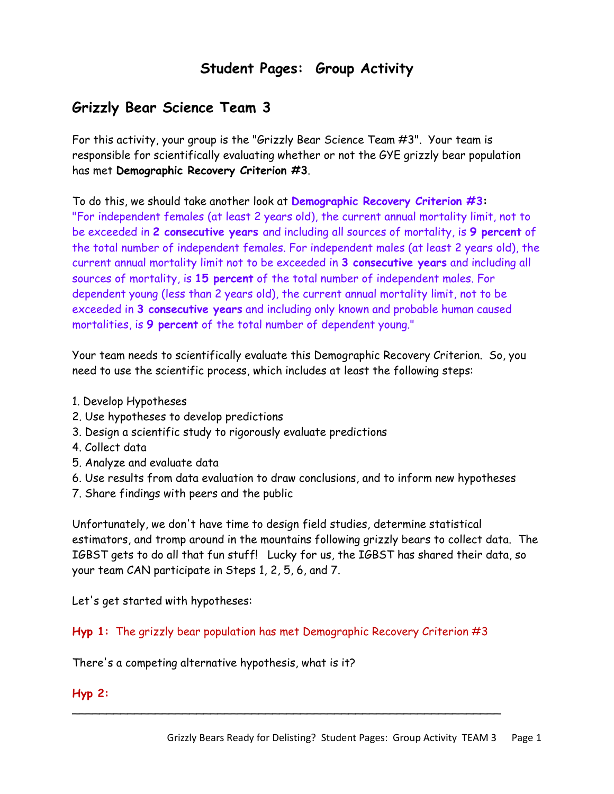# **Student Pages: Group Activity**

# **Grizzly Bear Science Team 3**

For this activity, your group is the "Grizzly Bear Science Team #3". Your team is responsible for scientifically evaluating whether or not the GYE grizzly bear population has met **Demographic Recovery Criterion #3**.

To do this, we should take another look at **Demographic Recovery Criterion #3:** "For independent females (at least 2 years old), the current annual mortality limit, not to be exceeded in **2 consecutive years** and including all sources of mortality, is **9 percent** of the total number of independent females. For independent males (at least 2 years old), the current annual mortality limit not to be exceeded in **3 consecutive years** and including all sources of mortality, is **15 percent** of the total number of independent males. For dependent young (less than 2 years old), the current annual mortality limit, not to be exceeded in **3 consecutive years** and including only known and probable human caused mortalities, is **9 percent** of the total number of dependent young."

Your team needs to scientifically evaluate this Demographic Recovery Criterion. So, you need to use the scientific process, which includes at least the following steps:

- 1. Develop Hypotheses
- 2. Use hypotheses to develop predictions
- 3. Design a scientific study to rigorously evaluate predictions
- 4. Collect data
- 5. Analyze and evaluate data
- 6. Use results from data evaluation to draw conclusions, and to inform new hypotheses
- 7. Share findings with peers and the public

Unfortunately, we don't have time to design field studies, determine statistical estimators, and tromp around in the mountains following grizzly bears to collect data. The IGBST gets to do all that fun stuff! Lucky for us, the IGBST has shared their data, so your team CAN participate in Steps 1, 2, 5, 6, and 7.

Let's get started with hypotheses:

**Hyp 1:** The grizzly bear population has met Demographic Recovery Criterion #3

\_\_\_\_\_\_\_\_\_\_\_\_\_\_\_\_\_\_\_\_\_\_\_\_\_\_\_\_\_\_\_\_\_\_\_\_\_\_\_\_\_\_\_\_\_\_\_\_\_\_\_\_\_\_\_\_\_\_\_\_\_\_

There's a competing alternative hypothesis, what is it?

### **Hyp 2:**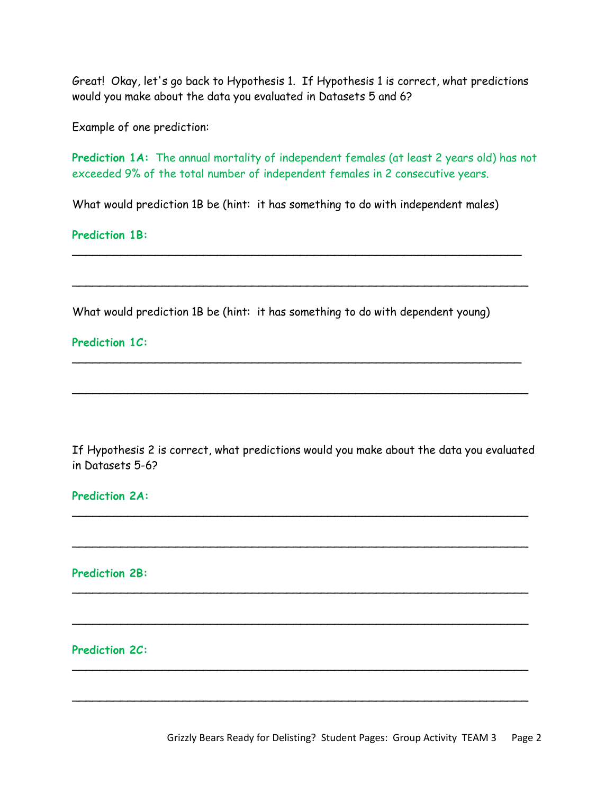Great! Okay, let's go back to Hypothesis 1. If Hypothesis 1 is correct, what predictions would you make about the data you evaluated in Datasets 5 and 6?

Example of one prediction:

Prediction 1A: The annual mortality of independent females (at least 2 years old) has not exceeded 9% of the total number of independent females in 2 consecutive years.

What would prediction 1B be (hint: it has something to do with independent males)

\_\_\_\_\_\_\_\_\_\_\_\_\_\_\_\_\_\_\_\_\_\_\_\_\_\_\_\_\_\_\_\_\_\_\_\_\_\_\_\_\_\_\_\_\_\_\_\_\_\_\_\_\_\_\_\_\_\_\_\_\_\_\_\_\_

 $\overline{\phantom{a}}$ 

\_\_\_\_\_\_\_\_\_\_\_\_\_\_\_\_\_\_\_\_\_\_\_\_\_\_\_\_\_\_\_\_\_\_\_\_\_\_\_\_\_\_\_\_\_\_\_\_\_\_\_\_\_\_\_\_\_\_\_\_\_\_\_\_\_

 $\overline{\phantom{a}}$ 

**Prediction 1B:**

What would prediction 1B be (hint: it has something to do with dependent young)

#### **Prediction 1C:**

If Hypothesis 2 is correct, what predictions would you make about the data you evaluated in Datasets 5-6?

 $\overline{\phantom{a}}$ 

 $\overline{\phantom{a}}$ 

 $\mathcal{L} = \{ \mathcal{L} \mid \mathcal{L} \in \mathcal{L} \}$ 

 $\mathcal{L} = \{ \mathcal{L} \mid \mathcal{L} \in \mathcal{L} \}$ 

 $\overline{\phantom{a}}$ 

 $\mathcal{L} = \{ \mathcal{L} \mid \mathcal{L} \in \mathcal{L} \}$ 

#### **Prediction 2A:**

**Prediction 2B:**

### **Prediction 2C:**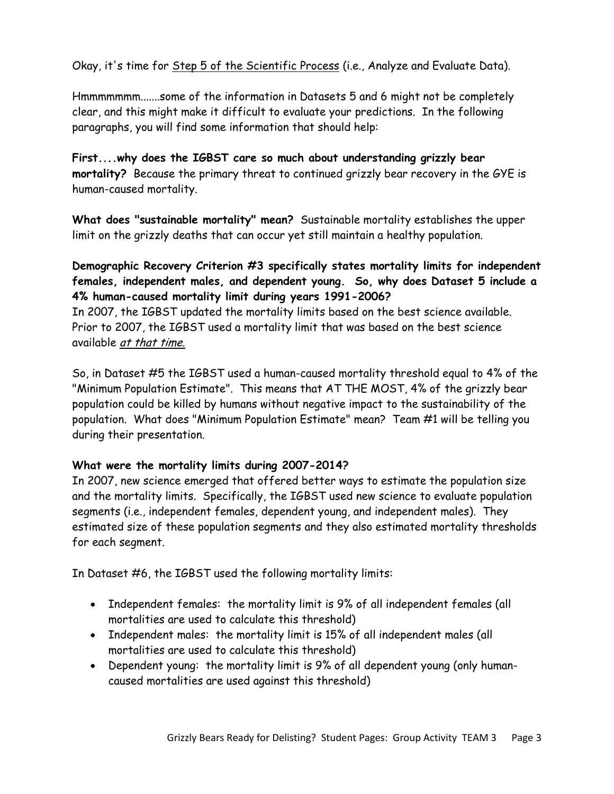Okay, it's time for Step 5 of the Scientific Process (i.e., Analyze and Evaluate Data).

Hmmmmmmm.......some of the information in Datasets 5 and 6 might not be completely clear, and this might make it difficult to evaluate your predictions. In the following paragraphs, you will find some information that should help:

**First....why does the IGBST care so much about understanding grizzly bear mortality?** Because the primary threat to continued grizzly bear recovery in the GYE is human-caused mortality.

**What does "sustainable mortality" mean?** Sustainable mortality establishes the upper limit on the grizzly deaths that can occur yet still maintain a healthy population.

## **Demographic Recovery Criterion #3 specifically states mortality limits for independent females, independent males, and dependent young. So, why does Dataset 5 include a 4% human-caused mortality limit during years 1991-2006?**

In 2007, the IGBST updated the mortality limits based on the best science available. Prior to 2007, the IGBST used a mortality limit that was based on the best science available at that time.

So, in Dataset #5 the IGBST used a human-caused mortality threshold equal to 4% of the "Minimum Population Estimate". This means that AT THE MOST, 4% of the grizzly bear population could be killed by humans without negative impact to the sustainability of the population. What does "Minimum Population Estimate" mean? Team #1 will be telling you during their presentation.

## **What were the mortality limits during 2007-2014?**

In 2007, new science emerged that offered better ways to estimate the population size and the mortality limits. Specifically, the IGBST used new science to evaluate population segments (i.e., independent females, dependent young, and independent males). They estimated size of these population segments and they also estimated mortality thresholds for each segment.

In Dataset #6, the IGBST used the following mortality limits:

- Independent females: the mortality limit is 9% of all independent females (all mortalities are used to calculate this threshold)
- Independent males: the mortality limit is 15% of all independent males (all mortalities are used to calculate this threshold)
- Dependent young: the mortality limit is 9% of all dependent young (only humancaused mortalities are used against this threshold)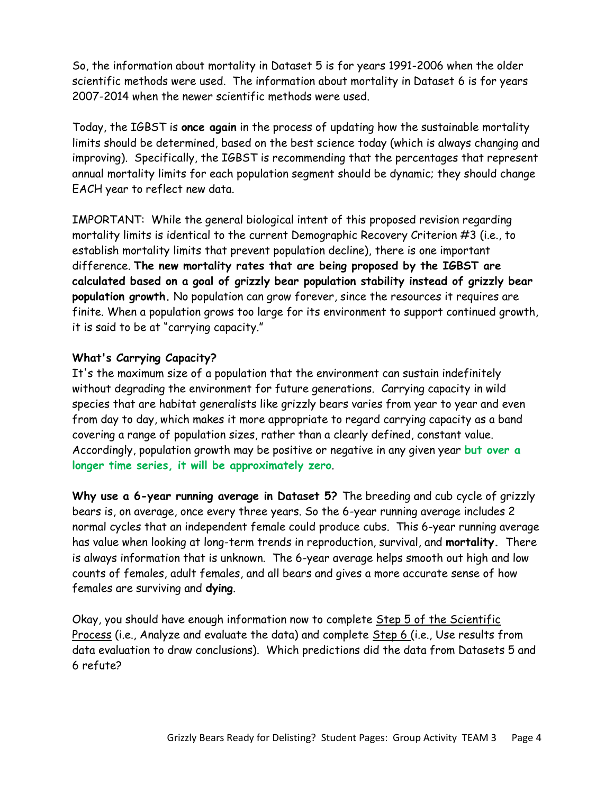So, the information about mortality in Dataset 5 is for years 1991-2006 when the older scientific methods were used. The information about mortality in Dataset 6 is for years 2007-2014 when the newer scientific methods were used.

Today, the IGBST is **once again** in the process of updating how the sustainable mortality limits should be determined, based on the best science today (which is always changing and improving). Specifically, the IGBST is recommending that the percentages that represent annual mortality limits for each population segment should be dynamic; they should change EACH year to reflect new data.

IMPORTANT: While the general biological intent of this proposed revision regarding mortality limits is identical to the current Demographic Recovery Criterion #3 (i.e., to establish mortality limits that prevent population decline), there is one important difference. **The new mortality rates that are being proposed by the IGBST are calculated based on a goal of grizzly bear population stability instead of grizzly bear population growth.** No population can grow forever, since the resources it requires are finite. When a population grows too large for its environment to support continued growth, it is said to be at "carrying capacity."

### **What's Carrying Capacity?**

It's the maximum size of a population that the environment can sustain indefinitely without degrading the environment for future generations. Carrying capacity in wild species that are habitat generalists like grizzly bears varies from year to year and even from day to day, which makes it more appropriate to regard carrying capacity as a band covering a range of population sizes, rather than a clearly defined, constant value. Accordingly, population growth may be positive or negative in any given year **but over a longer time series, it will be approximately zero**.

**Why use a 6-year running average in Dataset 5?** The breeding and cub cycle of grizzly bears is, on average, once every three years. So the 6-year running average includes 2 normal cycles that an independent female could produce cubs. This 6-year running average has value when looking at long-term trends in reproduction, survival, and **mortality.** There is always information that is unknown. The 6-year average helps smooth out high and low counts of females, adult females, and all bears and gives a more accurate sense of how females are surviving and **dying**.

Okay, you should have enough information now to complete Step 5 of the Scientific Process (i.e., Analyze and evaluate the data) and complete Step 6 (i.e., Use results from data evaluation to draw conclusions). Which predictions did the data from Datasets 5 and 6 refute?